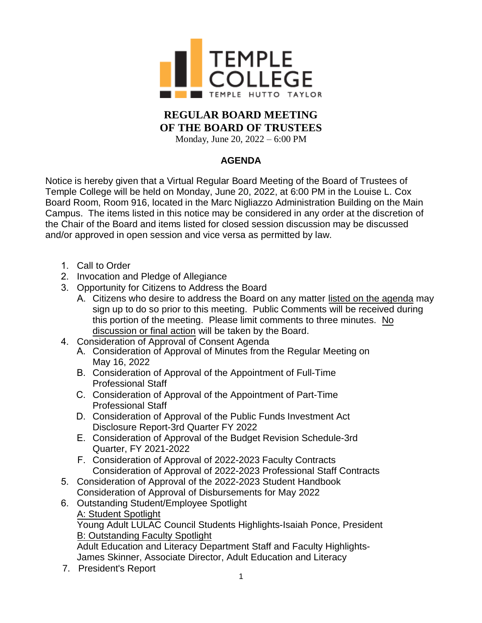

## **REGULAR BOARD MEETING OF THE BOARD OF TRUSTEES**

Monday, June 20, 2022 – 6:00 PM

## **AGENDA**

Notice is hereby given that a Virtual Regular Board Meeting of the Board of Trustees of Temple College will be held on Monday, June 20, 2022, at 6:00 PM in the Louise L. Cox Board Room, Room 916, located in the Marc Nigliazzo Administration Building on the Main Campus. The items listed in this notice may be considered in any order at the discretion of the Chair of the Board and items listed for closed session discussion may be discussed and/or approved in open session and vice versa as permitted by law.

- 1. Call to Order
- 2. Invocation and Pledge of Allegiance
- 3. Opportunity for Citizens to Address the Board
	- A. Citizens who desire to address the Board on any matter listed on the agenda may sign up to do so prior to this meeting. Public Comments will be received during this portion of the meeting. Please limit comments to three minutes. No discussion or final action will be taken by the Board.
- 4. Consideration of Approval of Consent Agenda
	- A. Consideration of Approval of Minutes from the Regular Meeting on May 16, 2022
	- B. Consideration of Approval of the Appointment of Full-Time Professional Staff
	- C. Consideration of Approval of the Appointment of Part-Time Professional Staff
	- D. Consideration of Approval of the Public Funds Investment Act Disclosure Report-3rd Quarter FY 2022
	- E. Consideration of Approval of the Budget Revision Schedule-3rd Quarter, FY 2021-2022
	- F. Consideration of Approval of 2022-2023 Faculty Contracts Consideration of Approval of 2022-2023 Professional Staff Contracts
- 5. Consideration of Approval of the 2022-2023 Student Handbook Consideration of Approval of Disbursements for May 2022
- 6. Outstanding Student/Employee Spotlight A: Student Spotlight Young Adult LULAC Council Students Highlights-Isaiah Ponce, President B: Outstanding Faculty Spotlight Adult Education and Literacy Department Staff and Faculty Highlights-
	- James Skinner, Associate Director, Adult Education and Literacy
- 7. President's Report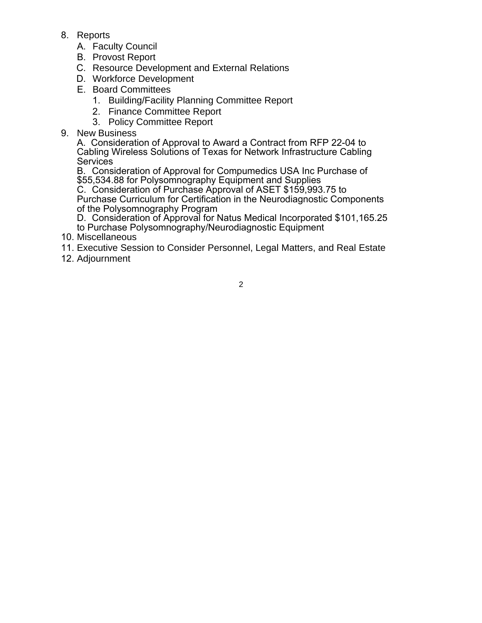- 8. Reports
	- A. Faculty Council
	- B. Provost Report
	- C. Resource Development and External Relations
	- D. Workforce Development
	- E. Board Committees
		- 1. Building/Facility Planning Committee Report
		- 2. Finance Committee Report
		- 3. Policy Committee Report
- 9. New Business

A. Consideration of Approval to Award a Contract from RFP 22-04 to Cabling Wireless Solutions of Texas for Network Infrastructure Cabling **Services** 

B. Consideration of Approval for Compumedics USA Inc Purchase of \$55,534.88 for Polysomnography Equipment and Supplies

C. Consideration of Purchase Approval of ASET \$159,993.75 to Purchase Curriculum for Certification in the Neurodiagnostic Components of the Polysomnography Program

- D. Consideration of Approval for Natus Medical Incorporated \$101,165.25
- to Purchase Polysomnography/Neurodiagnostic Equipment
- 10. Miscellaneous
- 11. Executive Session to Consider Personnel, Legal Matters, and Real Estate
- 12. Adjournment

2